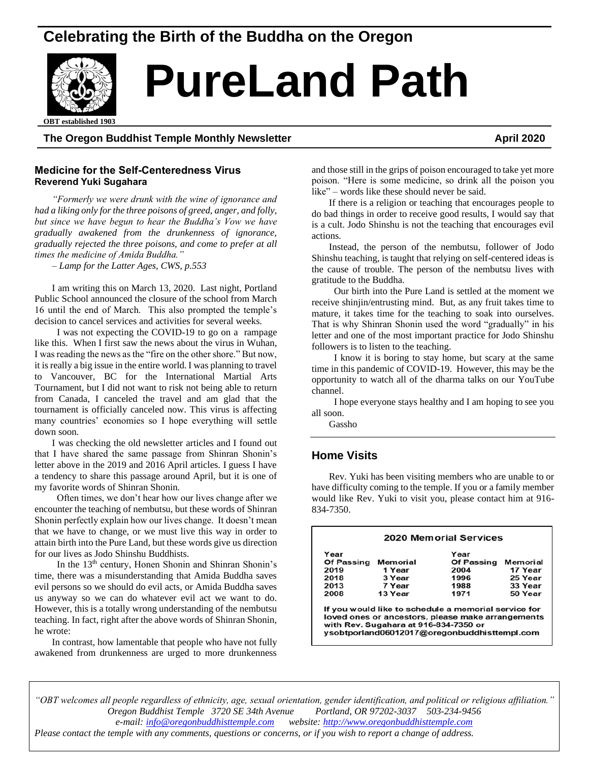# **Celebrating the Birth of the Buddha on the Oregon**



# **PureLand Path**

ed 1903 **OBT established 1903**

# **The Oregon Buddhist Temple Monthly Newsletter April 2020**

# **Medicine for the Self-Centeredness Virus Reverend Yuki Sugahara**

*"Formerly we were drunk with the wine of ignorance and had a liking only for the three poisons of greed, anger, and folly, but since we have begun to hear the Buddha's Vow we have gradually awakened from the drunkenness of ignorance, gradually rejected the three poisons, and come to prefer at all times the medicine of Amida Buddha."*

*– Lamp for the Latter Ages, CWS, p.553*

I am writing this on March 13, 2020. Last night, Portland Public School announced the closure of the school from March 16 until the end of March. This also prompted the temple's decision to cancel services and activities for several weeks.

 I was not expecting the COVID-19 to go on a rampage like this. When I first saw the news about the virus in Wuhan, I was reading the news as the "fire on the other shore." But now, it is really a big issue in the entire world. I was planning to travel to Vancouver, BC for the International Martial Arts Tournament, but I did not want to risk not being able to return from Canada, I canceled the travel and am glad that the tournament is officially canceled now. This virus is affecting many countries' economies so I hope everything will settle down soon.

I was checking the old newsletter articles and I found out that I have shared the same passage from Shinran Shonin's letter above in the 2019 and 2016 April articles. I guess I have a tendency to share this passage around April, but it is one of my favorite words of Shinran Shonin.

 Often times, we don't hear how our lives change after we encounter the teaching of nembutsu, but these words of Shinran Shonin perfectly explain how our lives change. It doesn't mean that we have to change, or we must live this way in order to attain birth into the Pure Land, but these words give us direction for our lives as Jodo Shinshu Buddhists.

In the  $13<sup>th</sup>$  century, Honen Shonin and Shinran Shonin's time, there was a misunderstanding that Amida Buddha saves evil persons so we should do evil acts, or Amida Buddha saves us anyway so we can do whatever evil act we want to do. However, this is a totally wrong understanding of the nembutsu teaching. In fact, right after the above words of Shinran Shonin, he wrote:

In contrast, how lamentable that people who have not fully awakened from drunkenness are urged to more drunkenness

and those still in the grips of poison encouraged to take yet more poison. "Here is some medicine, so drink all the poison you like" – words like these should never be said.

If there is a religion or teaching that encourages people to do bad things in order to receive good results, I would say that is a cult. Jodo Shinshu is not the teaching that encourages evil actions.

Instead, the person of the nembutsu, follower of Jodo Shinshu teaching, is taught that relying on self-centered ideas is the cause of trouble. The person of the nembutsu lives with gratitude to the Buddha.

 Our birth into the Pure Land is settled at the moment we receive shinjin/entrusting mind. But, as any fruit takes time to mature, it takes time for the teaching to soak into ourselves. That is why Shinran Shonin used the word "gradually" in his letter and one of the most important practice for Jodo Shinshu followers is to listen to the teaching.

 I know it is boring to stay home, but scary at the same time in this pandemic of COVID-19. However, this may be the opportunity to watch all of the dharma talks on our YouTube channel.

 I hope everyone stays healthy and I am hoping to see you all soon.

Gassho

# **Home Visits**

Rev. Yuki has been visiting members who are unable to or have difficulty coming to the temple. If you or a family member would like Rev. Yuki to visit you, please contact him at 916- 834-7350.

| Year              |          | Year       |          |
|-------------------|----------|------------|----------|
| <b>Of Passing</b> | Memorial | Of Passing | Memorial |
| 2019              | 1 Year   | 2004       | 17 Year  |
| 2018              | 3 Year   | 1996       | 25 Year  |
| 2013              | 7 Year   | 1988       | 33 Year  |
| 2008              | 13 Year  | 1971       | 50 Year  |

ysobtporland06012017@oregonbuddhisttempl.com

*"OBT welcomes all people regardless of ethnicity, age, sexual orientation, gender identification, and political or religious affiliation." Oregon Buddhist Temple 3720 SE 34th Avenue Portland, OR 97202-3037 503-234-9456 e-mail[: info@oregonbuddhisttemple.com](mailto:info@oregonbuddhisttemple.com) website: [http://www.oregonbuddhisttemple.com](http://www.oregonbuddhisttemple.com/)*

*Please contact the temple with any comments, questions or concerns, or if you wish to report a change of address.*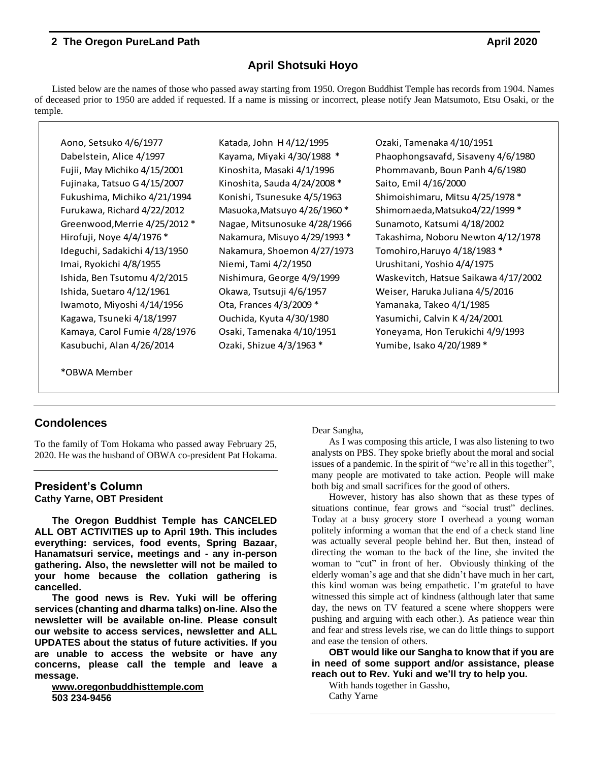# **April Shotsuki Hoyo**

Listed below are the names of those who passed away starting from 1950. Oregon Buddhist Temple has records from 1904. Names of deceased prior to 1950 are added if requested. If a name is missing or incorrect, please notify Jean Matsumoto, Etsu Osaki, or the temple.

Aono, Setsuko 4/8/1977<br>
Varyana, Myaki 4/30/1998<br>
Touly, May Finnesska 4/12/1998<br>
Touly, May Highlick 4/1973 Katada, Antxonichi, Massaki 4/1/1998<br>
Touly May Highlick 4/1972 Katada, Antxonick A, Massaki 4/1/1996<br>
Touly May Fujinaka, Tatsuo G 4/15/2007 Kinoshita, Sauda 4/24/2008 \* Saito, Emil 4/16/2000 Greenwood,Merrie 4/25/2012 \* Nagae, Mitsunosuke 4/28/1966 Sunamoto, Katsumi 4/18/2002 Ideguchi, Sadakichi 4/13/1950 Nakamura, Shoemon 4/27/1973 Tomohiro,Haruyo 4/18/1983 \* Imai, Ryokichi 4/8/1955 Niemi, Tami 4/2/1950 Urushitani, Yoshio 4/4/1975 Iwamoto, Miyoshi 4/14/1956 Ota, Frances 4/3/2009 \* Yamanaka, Takeo 4/1/1985 Kagawa, Tsuneki 4/18/1997 Ouchida, Kyuta 4/30/1980 Yasumichi, Calvin K 4/24/2001 Kasubuchi, Alan 4/26/2014 Ozaki, Shizue 4/3/1963 \* Yumibe, Isako 4/20/1989 \*

Dabelstein, Alice 4/1997 Kayama, Miyaki 4/30/1988 \* Phaophongsavafd, Sisaveny 4/6/1980 Fujii, May Michiko 4/15/2001 Kinoshita, Masaki 4/1/1996 Phommavanb, Boun Panh 4/6/1980 Fukushima, Michiko 4/21/1994 Konishi, Tsunesuke 4/5/1963 Shimoishimaru, Mitsu 4/25/1978 \* Furukawa, Richard 4/22/2012 Masuoka,Matsuyo 4/26/1960 \* Shimomaeda,Matsuko4/22/1999 \* Hirofuji, Noye 4/4/1976 \* Nakamura, Misuyo 4/29/1993 \* Takashima, Noboru Newton 4/12/1978 Ishida, Ben Tsutomu 4/2/2015 Nishimura, George 4/9/1999 Waskevitch, Hatsue Saikawa 4/17/2002 Ishida, Suetaro 4/12/1961 Okawa, Tsutsuji 4/6/1957 Weiser, Haruka Juliana 4/5/2016 Kamaya, Carol Fumie 4/28/1976 Osaki, Tamenaka 4/10/1951 Yoneyama, Hon Terukichi 4/9/1993

\*OBWA Member

# **Condolences**

To the family of Tom Hokama who passed away February 25, 2020. He was the husband of OBWA co-president Pat Hokama.

### **President's Column Cathy Yarne, OBT President**

**The Oregon Buddhist Temple has CANCELED ALL OBT ACTIVITIES up to April 19th. This includes everything: services, food events, Spring Bazaar, Hanamatsuri service, meetings and - any in-person gathering. Also, the newsletter will not be mailed to your home because the collation gathering is cancelled.**

**The good news is Rev. Yuki will be offering services(chanting and dharma talks) on-line. Also the newsletter will be available on-line. Please consult our website to access services, newsletter and ALL UPDATES about the status of future activities. If you are unable to access the website or have any concerns, please call the temple and leave a message.**

**[www.oregonbuddhisttemple.com](http://www.oregonbuddhisttemple.com/) 503 234-9456**

Dear Sangha,

As I was composing this article, I was also listening to two analysts on PBS. They spoke briefly about the moral and social issues of a pandemic. In the spirit of "we're all in this together", many people are motivated to take action. People will make both big and small sacrifices for the good of others.

However, history has also shown that as these types of situations continue, fear grows and "social trust" declines. Today at a busy grocery store I overhead a young woman politely informing a woman that the end of a check stand line was actually several people behind her. But then, instead of directing the woman to the back of the line, she invited the woman to "cut" in front of her. Obviously thinking of the elderly woman's age and that she didn't have much in her cart, this kind woman was being empathetic. I'm grateful to have witnessed this simple act of kindness (although later that same day, the news on TV featured a scene where shoppers were pushing and arguing with each other.). As patience wear thin and fear and stress levels rise, we can do little things to support and ease the tension of others.

**OBT would like our Sangha to know that if you are in need of some support and/or assistance, please reach out to Rev. Yuki and we'll try to help you.**

With hands together in Gassho,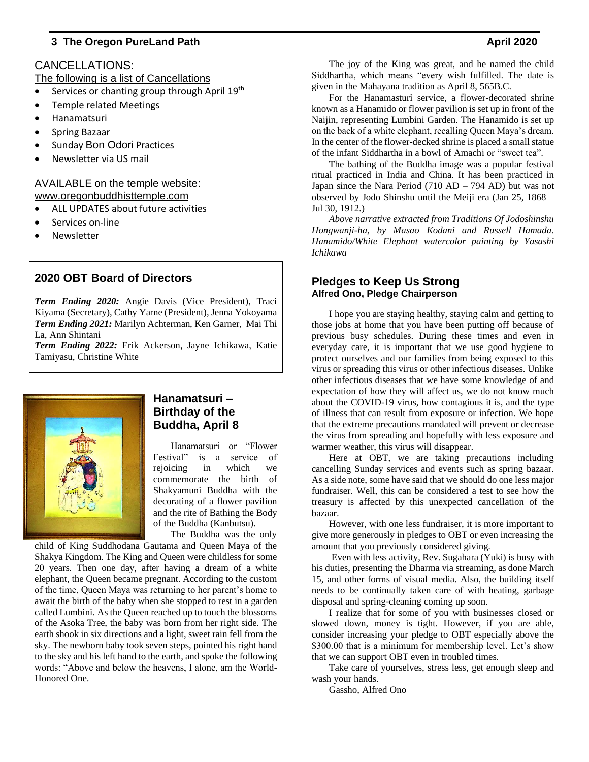# CANCELLATIONS:

The following is a list of Cancellations

- Services or chanting group through April 19th
- Temple related Meetings
- Hanamatsuri
- Spring Bazaar
- Sunday Bon Odori Practices
- Newsletter via US mail

# AVAILABLE on the temple website: www.oregonbuddhisttemple.com

- ALL UPDATES about future activities
- Services on-line
- **Newsletter**

# **2020 OBT Board of Directors**

*Term Ending 2020:* Angie Davis (Vice President), Traci Kiyama (Secretary), Cathy Yarne (President), Jenna Yokoyama *Term Ending 2021:* Marilyn Achterman, Ken Garner, Mai Thi La, Ann Shintani

*Term Ending 2022:* Erik Ackerson, Jayne Ichikawa, Katie Tamiyasu, Christine White



# **Hanamatsuri – Birthday of the Buddha, April 8**

Hanamatsuri or "Flower Festival" is a service of rejoicing in which we commemorate the birth of Shakyamuni Buddha with the decorating of a flower pavilion and the rite of Bathing the Body of the Buddha (Kanbutsu).

The Buddha was the only

child of King Suddhodana Gautama and Queen Maya of the Shakya Kingdom. The King and Queen were childless for some 20 years. Then one day, after having a dream of a white elephant, the Queen became pregnant. According to the custom of the time, Queen Maya was returning to her parent's home to await the birth of the baby when she stopped to rest in a garden called Lumbini. As the Queen reached up to touch the blossoms of the Asoka Tree, the baby was born from her right side. The earth shook in six directions and a light, sweet rain fell from the sky. The newborn baby took seven steps, pointed his right hand to the sky and his left hand to the earth, and spoke the following words: "Above and below the heavens, I alone, am the World-Honored One.

The joy of the King was great, and he named the child Siddhartha, which means "every wish fulfilled. The date is given in the Mahayana tradition as April 8, 565B.C.

For the Hanamasturi service, a flower-decorated shrine known as a Hanamido or flower pavilion is set up in front of the Naijin, representing Lumbini Garden. The Hanamido is set up on the back of a white elephant, recalling Queen Maya's dream. In the center of the flower-decked shrine is placed a small statue of the infant Siddhartha in a bowl of Amachi or "sweet tea".

The bathing of the Buddha image was a popular festival ritual practiced in India and China. It has been practiced in Japan since the Nara Period  $(710 AD - 794 AD)$  but was not observed by Jodo Shinshu until the Meiji era (Jan 25, 1868 – Jul 30, 1912.)

*Above narrative extracted from Traditions Of Jodoshinshu Hongwanji-ha, by Masao Kodani and Russell Hamada. Hanamido/White Elephant watercolor painting by Yasashi Ichikawa*

# **Pledges to Keep Us Strong Alfred Ono, Pledge Chairperson**

I hope you are staying healthy, staying calm and getting to those jobs at home that you have been putting off because of previous busy schedules. During these times and even in everyday care, it is important that we use good hygiene to protect ourselves and our families from being exposed to this virus or spreading this virus or other infectious diseases. Unlike other infectious diseases that we have some knowledge of and expectation of how they will affect us, we do not know much about the COVID-19 virus, how contagious it is, and the type of illness that can result from exposure or infection. We hope that the extreme precautions mandated will prevent or decrease the virus from spreading and hopefully with less exposure and warmer weather, this virus will disappear.

Here at OBT, we are taking precautions including cancelling Sunday services and events such as spring bazaar. As a side note, some have said that we should do one less major fundraiser. Well, this can be considered a test to see how the treasury is affected by this unexpected cancellation of the bazaar.

However, with one less fundraiser, it is more important to give more generously in pledges to OBT or even increasing the amount that you previously considered giving.

Even with less activity, Rev. Sugahara (Yuki) is busy with his duties, presenting the Dharma via streaming, as done March 15, and other forms of visual media. Also, the building itself needs to be continually taken care of with heating, garbage disposal and spring-cleaning coming up soon.

I realize that for some of you with businesses closed or slowed down, money is tight. However, if you are able, consider increasing your pledge to OBT especially above the \$300.00 that is a minimum for membership level. Let's show that we can support OBT even in troubled times.

Take care of yourselves, stress less, get enough sleep and wash your hands.

Gassho, Alfred Ono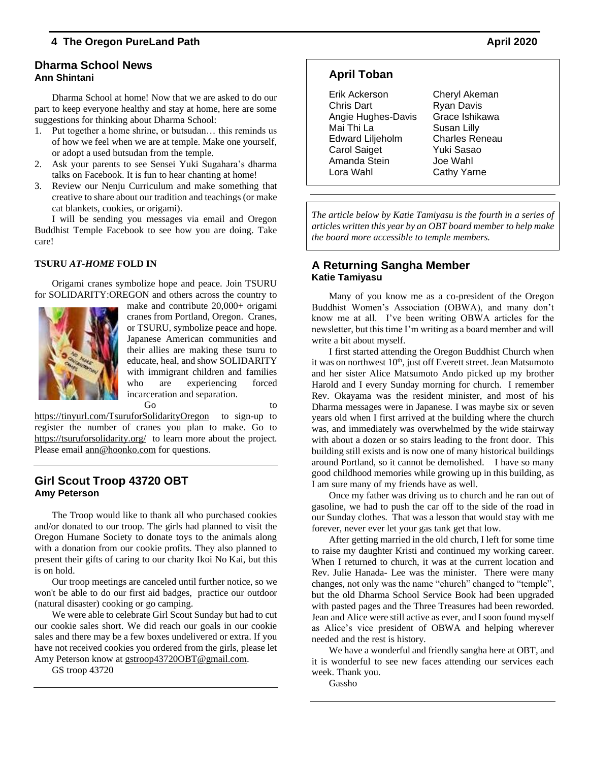# **Dharma School News Ann Shintani**

Dharma School at home! Now that we are asked to do our part to keep everyone healthy and stay at home, here are some suggestions for thinking about Dharma School:

- 1. Put together a home shrine, or butsudan… this reminds us of how we feel when we are at temple. Make one yourself, or adopt a used butsudan from the temple.
- 2. Ask your parents to see Sensei Yuki Sugahara's dharma talks on Facebook. It is fun to hear chanting at home!
- 3. Review our Nenju Curriculum and make something that creative to share about our tradition and teachings (or make cat blankets, cookies, or origami).

I will be sending you messages via email and Oregon Buddhist Temple Facebook to see how you are doing. Take care!

### **TSURU** *AT-HOME* **FOLD IN**

Origami cranes symbolize hope and peace. Join TSURU for SOLIDARITY:OREGON and others across the country to



make and contribute 20,000+ origami cranes from Portland, Oregon. Cranes, or TSURU, symbolize peace and hope. Japanese American communities and their allies are making these tsuru to educate, heal, and show SOLIDARITY with immigrant children and families who are experiencing forced incarceration and separation.

Go to to to the contract of the contract of the contract of the contract of the contract of the contract of the contract of the contract of the contract of the contract of the contract of the contract of the contract of th

<https://tinyurl.com/TsuruforSolidarityOregon>to sign-up to register the number of cranes you plan to make. Go to <https://tsuruforsolidarity.org/>to learn more about the project. Please email [ann@hoonko.com](mailto:ann@hoonko.com) for questions.

### **Girl Scout Troop 43720 OBT Amy Peterson**

The Troop would like to thank all who purchased cookies and/or donated to our troop. The girls had planned to visit the Oregon Humane Society to donate toys to the animals along with a donation from our cookie profits. They also planned to present their gifts of caring to our charity Ikoi No Kai, but this is on hold.

Our troop meetings are canceled until further notice, so we won't be able to do our first aid badges, practice our outdoor (natural disaster) cooking or go camping.

We were able to celebrate Girl Scout Sunday but had to cut our cookie sales short. We did reach our goals in our cookie sales and there may be a few boxes undelivered or extra. If you have not received cookies you ordered from the girls, please let Amy Peterson know at [gstroop43720OBT@gmail.com.](mailto:gstroop43720OBT@gmail.com)

GS troop 43720

# **April Toban**

Erik Ackerson Cheryl Akeman Chris Dart Ryan Davis Angie Hughes-Davis Grace Ishikawa Mai Thi La **Susan Lilly** Edward Liljeholm Charles Reneau Carol Saiget Yuki Sasao Amanda Stein Joe Wahl Lora Wahl Cathy Yarne

*The article below by Katie Tamiyasu is the fourth in a series of articles written this year by an OBTboard member to help make the board more accessible to temple members.*

# **A Returning Sangha Member Katie Tamiyasu**

Many of you know me as a co-president of the Oregon Buddhist Women's Association (OBWA), and many don't know me at all. I've been writing OBWA articles for the newsletter, but this time I'm writing as a board member and will write a bit about myself.

I first started attending the Oregon Buddhist Church when it was on northwest  $10<sup>th</sup>$ , just off Everett street. Jean Matsumoto and her sister Alice Matsumoto Ando picked up my brother Harold and I every Sunday morning for church. I remember Rev. Okayama was the resident minister, and most of his Dharma messages were in Japanese. I was maybe six or seven years old when I first arrived at the building where the church was, and immediately was overwhelmed by the wide stairway with about a dozen or so stairs leading to the front door. This building still exists and is now one of many historical buildings around Portland, so it cannot be demolished. I have so many good childhood memories while growing up in this building, as I am sure many of my friends have as well.

Once my father was driving us to church and he ran out of gasoline, we had to push the car off to the side of the road in our Sunday clothes. That was a lesson that would stay with me forever, never ever let your gas tank get that low.

After getting married in the old church, I left for some time to raise my daughter Kristi and continued my working career. When I returned to church, it was at the current location and Rev. Julie Hanada- Lee was the minister. There were many changes, not only was the name "church" changed to "temple", but the old Dharma School Service Book had been upgraded with pasted pages and the Three Treasures had been reworded. Jean and Alice were still active as ever, and I soon found myself as Alice's vice president of OBWA and helping wherever needed and the rest is history.

We have a wonderful and friendly sangha here at OBT, and it is wonderful to see new faces attending our services each week. Thank you.

Gassho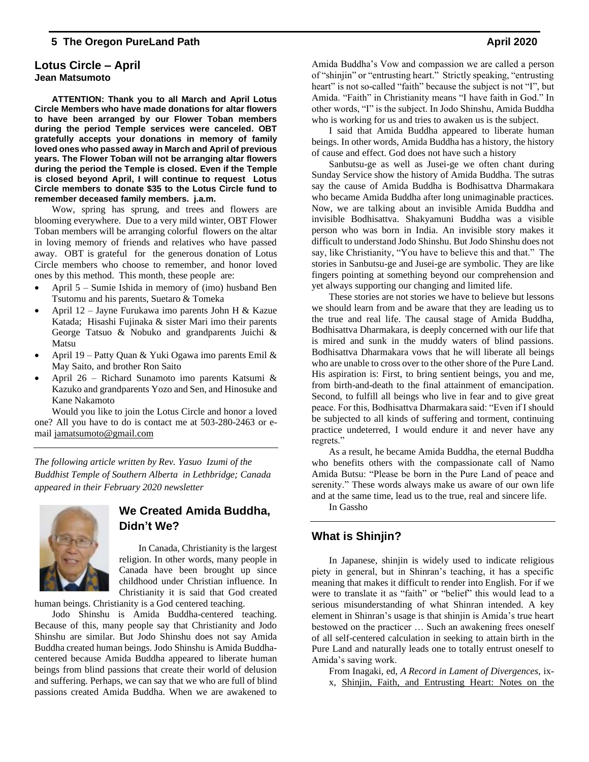### **Lotus Circle – April Jean Matsumoto**

**ATTENTION: Thank you to all March and April Lotus Circle Members who have made donations for altar flowers to have been arranged by our Flower Toban members during the period Temple services were canceled. OBT gratefully accepts your donations in memory of family loved ones who passed away in March and April of previous years. The Flower Toban will not be arranging altar flowers during the period the Temple is closed. Even if the Temple is closed beyond April, I will continue to request Lotus Circle members to donate \$35 to the Lotus Circle fund to remember deceased family members. j.a.m.** 

Wow, spring has sprung, and trees and flowers are blooming everywhere. Due to a very mild winter, OBT Flower Toban members will be arranging colorful flowers on the altar in loving memory of friends and relatives who have passed away. OBT is grateful for the generous donation of Lotus Circle members who choose to remember, and honor loved ones by this method. This month, these people are:

- April 5 Sumie Ishida in memory of (imo) husband Ben Tsutomu and his parents, Suetaro & Tomeka
- April 12 Jayne Furukawa imo parents John H & Kazue Katada; Hisashi Fujinaka & sister Mari imo their parents George Tatsuo & Nobuko and grandparents Juichi & Matsu
- April 19 Patty Quan & Yuki Ogawa imo parents Emil & May Saito, and brother Ron Saito
- April 26 Richard Sunamoto imo parents Katsumi & Kazuko and grandparents Yozo and Sen, and Hinosuke and Kane Nakamoto

Would you like to join the Lotus Circle and honor a loved one? All you have to do is contact me at 503-280-2463 or email [jamatsumoto@gmail.com](mailto:jamatsumoto@gmail.com)

*The following article written by Rev. Yasuo Izumi of the Buddhist Temple of Southern Alberta in Lethbridge; Canada appeared in their February 2020 newsletter*



# **We Created Amida Buddha, Didn't We?**

In Canada, Christianity is the largest religion. In other words, many people in Canada have been brought up since childhood under Christian influence. In Christianity it is said that God created

human beings. Christianity is a God centered teaching.

Jodo Shinshu is Amida Buddha-centered teaching. Because of this, many people say that Christianity and Jodo Shinshu are similar. But Jodo Shinshu does not say Amida Buddha created human beings. Jodo Shinshu is Amida Buddhacentered because Amida Buddha appeared to liberate human beings from blind passions that create their world of delusion and suffering. Perhaps, we can say that we who are full of blind passions created Amida Buddha. When we are awakened to

Amida Buddha's Vow and compassion we are called a person of "shinjin" or "entrusting heart." Strictly speaking, "entrusting heart" is not so-called "faith" because the subject is not "I", but Amida. "Faith" in Christianity means "I have faith in God." In other words, "I" is the subject. In Jodo Shinshu, Amida Buddha who is working for us and tries to awaken us is the subject.

I said that Amida Buddha appeared to liberate human beings. In other words, Amida Buddha has a history, the history of cause and effect. God does not have such a history

Sanbutsu-ge as well as Jusei-ge we often chant during Sunday Service show the history of Amida Buddha. The sutras say the cause of Amida Buddha is Bodhisattva Dharmakara who became Amida Buddha after long unimaginable practices. Now, we are talking about an invisible Amida Buddha and invisible Bodhisattva. Shakyamuni Buddha was a visible person who was born in India. An invisible story makes it difficult to understand Jodo Shinshu. But Jodo Shinshu does not say, like Christianity, "You have to believe this and that." The stories in Sanbutsu-ge and Jusei-ge are symbolic. They are like fingers pointing at something beyond our comprehension and yet always supporting our changing and limited life.

These stories are not stories we have to believe but lessons we should learn from and be aware that they are leading us to the true and real life. The causal stage of Amida Buddha, Bodhisattva Dharmakara, is deeply concerned with our life that is mired and sunk in the muddy waters of blind passions. Bodhisattva Dharmakara vows that he will liberate all beings who are unable to cross over to the other shore of the Pure Land. His aspiration is: First, to bring sentient beings, you and me, from birth-and-death to the final attainment of emancipation. Second, to fulfill all beings who live in fear and to give great peace. For this, Bodhisattva Dharmakara said: "Even if I should be subjected to all kinds of suffering and torment, continuing practice undeterred, I would endure it and never have any regrets."

As a result, he became Amida Buddha, the eternal Buddha who benefits others with the compassionate call of Namo Amida Butsu: "Please be born in the Pure Land of peace and serenity." These words always make us aware of our own life and at the same time, lead us to the true, real and sincere life.

In Gassho

# **What is Shinjin?**

In Japanese, shinjin is widely used to indicate religious piety in general, but in Shinran's teaching, it has a specific meaning that makes it difficult to render into English. For if we were to translate it as "faith" or "belief" this would lead to a serious misunderstanding of what Shinran intended. A key element in Shinran's usage is that shinjin is Amida's true heart bestowed on the practicer … Such an awakening frees oneself of all self-centered calculation in seeking to attain birth in the Pure Land and naturally leads one to totally entrust oneself to Amida's saving work.

From Inagaki, ed, *A Record in Lament of Divergences*, ixx, Shinjin, Faith, and Entrusting Heart: Notes on the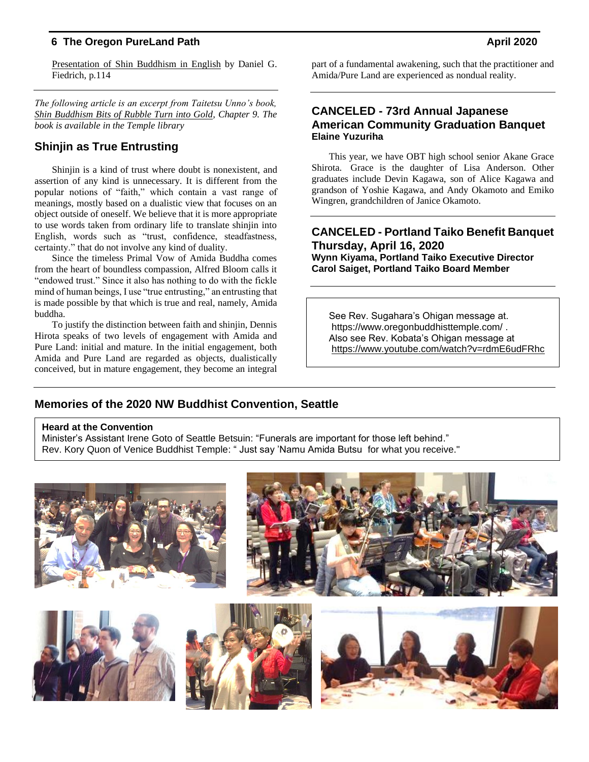Presentation of Shin Buddhism in English by Daniel G. Fiedrich, p.114

*The following article is an excerpt from Taitetsu Unno's book, Shin Buddhism Bits of Rubble Turn into Gold, Chapter 9. The book is available in the Temple library*

# **Shinjin as True Entrusting**

Shinjin is a kind of trust where doubt is nonexistent, and assertion of any kind is unnecessary. It is different from the popular notions of "faith," which contain a vast range of meanings, mostly based on a dualistic view that focuses on an object outside of oneself. We believe that it is more appropriate to use words taken from ordinary life to translate shinjin into English, words such as "trust, confidence, steadfastness, certainty." that do not involve any kind of duality.

Since the timeless Primal Vow of Amida Buddha comes from the heart of boundless compassion, Alfred Bloom calls it "endowed trust." Since it also has nothing to do with the fickle mind of human beings, I use "true entrusting," an entrusting that is made possible by that which is true and real, namely, Amida buddha.

To justify the distinction between faith and shinjin, Dennis Hirota speaks of two levels of engagement with Amida and Pure Land: initial and mature. In the initial engagement, both Amida and Pure Land are regarded as objects, dualistically conceived, but in mature engagement, they become an integral part of a fundamental awakening, such that the practitioner and Amida/Pure Land are experienced as nondual reality.

# **CANCELED - 73rd Annual Japanese American Community Graduation Banquet Elaine Yuzuriha**

This year, we have OBT high school senior Akane Grace Shirota. Grace is the daughter of Lisa Anderson. Other graduates include Devin Kagawa, son of Alice Kagawa and grandson of Yoshie Kagawa, and Andy Okamoto and Emiko Wingren, grandchildren of Janice Okamoto.

# **CANCELED - Portland Taiko Benefit Banquet Thursday, April 16, 2020**

**Wynn Kiyama, Portland Taiko Executive Director Carol Saiget, Portland Taiko Board Member**

See Rev. Sugahara's Ohigan message at. https://www.oregonbuddhisttemple.com/ . Also see Rev. Kobata's Ohigan message at <https://www.youtube.com/watch?v=rdmE6udFRhc>

# **Memories of the 2020 NW Buddhist Convention, Seattle**

### **Heard at the Convention**

Minister's Assistant Irene Goto of Seattle Betsuin: "Funerals are important for those left behind." Rev. Kory Quon of Venice Buddhist Temple: " Just say 'Namu Amida Butsu for what you receive."

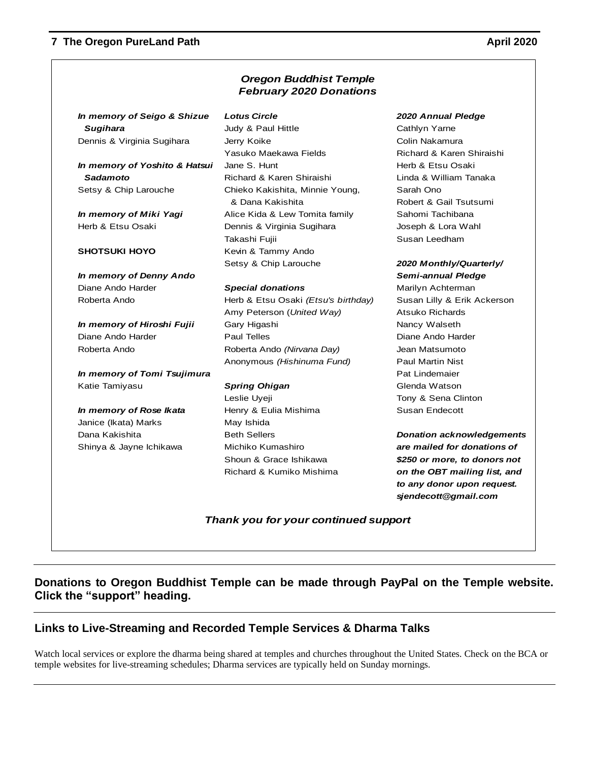|                               | <b>Oregon Buddhist Temple</b><br><b>February 2020 Donations</b> |                                  |
|-------------------------------|-----------------------------------------------------------------|----------------------------------|
| In memory of Seigo & Shizue   | <b>Lotus Circle</b>                                             | 2020 Annual Pledge               |
| <b>Sugihara</b>               | Judy & Paul Hittle                                              | Cathlyn Yarne                    |
| Dennis & Virginia Sugihara    | Jerry Koike                                                     | Colin Nakamura                   |
|                               | Yasuko Maekawa Fields                                           | Richard & Karen Shiraishi        |
| In memory of Yoshito & Hatsui | Jane S. Hunt                                                    | Herb & Etsu Osaki                |
| Sadamoto                      | Richard & Karen Shiraishi                                       | Linda & William Tanaka           |
| Setsy & Chip Larouche         | Chieko Kakishita, Minnie Young,                                 | Sarah Ono                        |
|                               | & Dana Kakishita                                                | Robert & Gail Tsutsumi           |
| In memory of Miki Yagi        | Alice Kida & Lew Tomita family                                  | Sahomi Tachibana                 |
| Herb & Etsu Osaki             | Dennis & Virginia Sugihara                                      | Joseph & Lora Wahl               |
|                               | Takashi Fujii                                                   | Susan Leedham                    |
| <b>SHOTSUKI HOYO</b>          | Kevin & Tammy Ando                                              |                                  |
|                               | Setsy & Chip Larouche                                           | 2020 Monthly/Quarterly/          |
| In memory of Denny Ando       |                                                                 | Semi-annual Pledge               |
| Diane Ando Harder             | <b>Special donations</b>                                        | Marilyn Achterman                |
| Roberta Ando                  | Herb & Etsu Osaki (Etsu's birthday)                             | Susan Lilly & Erik Ackerson      |
|                               | Amy Peterson (United Way)                                       | <b>Atsuko Richards</b>           |
| In memory of Hiroshi Fujii    | Gary Higashi                                                    | Nancy Walseth                    |
| Diane Ando Harder             | <b>Paul Telles</b>                                              | Diane Ando Harder                |
| Roberta Ando                  | Roberta Ando (Nirvana Day)                                      | Jean Matsumoto                   |
|                               | Anonymous (Hishinuma Fund)                                      | <b>Paul Martin Nist</b>          |
| In memory of Tomi Tsujimura   |                                                                 | Pat Lindemaier                   |
| Katie Tamiyasu                | <b>Spring Ohigan</b>                                            | Glenda Watson                    |
|                               | Leslie Uyeji                                                    | Tony & Sena Clinton              |
| In memory of Rose Ikata       | Henry & Eulia Mishima                                           | Susan Endecott                   |
| Janice (Ikata) Marks          | May Ishida                                                      |                                  |
| Dana Kakishita                | <b>Beth Sellers</b>                                             | <b>Donation acknowledgements</b> |
| Shinya & Jayne Ichikawa       | Michiko Kumashiro                                               | are mailed for donations of      |
|                               | Shoun & Grace Ishikawa                                          | \$250 or more, to donors not     |
|                               | Richard & Kumiko Mishima                                        | on the OBT mailing list, and     |
|                               |                                                                 | to any donor upon request.       |
|                               |                                                                 | sjendecott@gmail.com             |
|                               | Thank you for your continued support                            |                                  |

# **Donations to Oregon Buddhist Temple can be made through PayPal on the Temple website. Click the "support" heading.**

# **Links to Live-Streaming and Recorded Temple Services & Dharma Talks**

Watch local services or explore the dharma being shared at temples and churches throughout the United States. Check on the BCA or temple websites for live-streaming schedules; Dharma services are typically held on Sunday mornings.